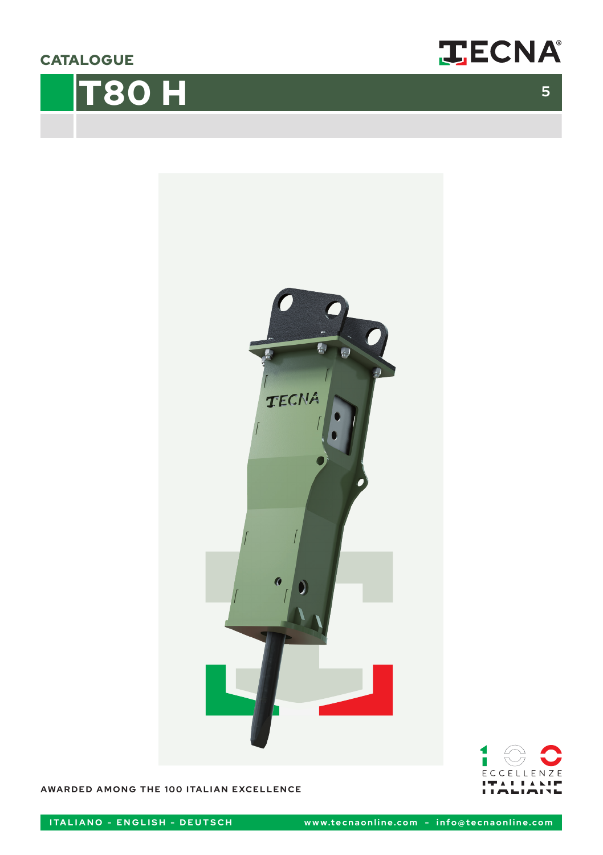**CATALOGUE** 









**AWARDED AMONG THE 100 ITALIAN EXCELLENCE**